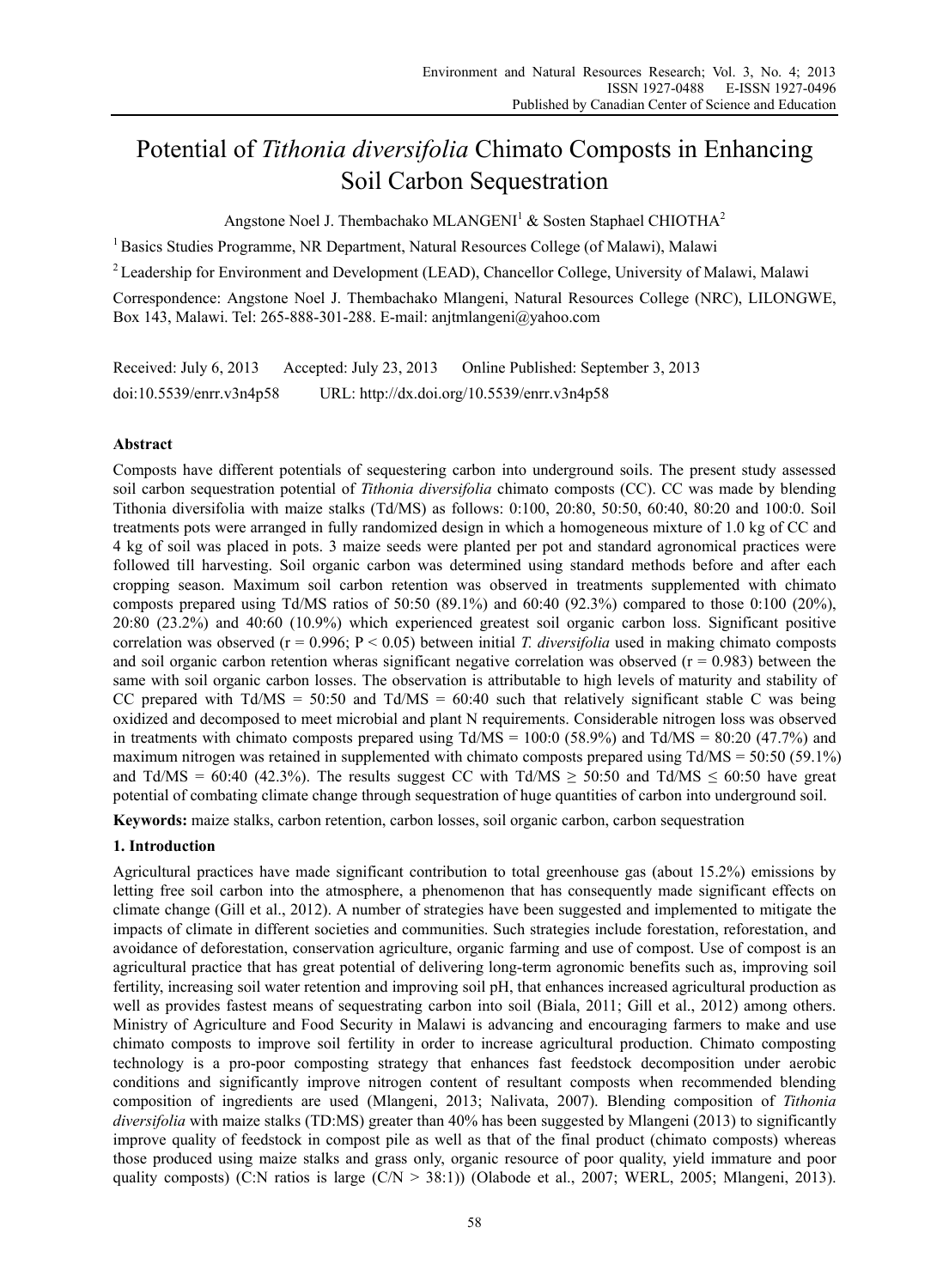# Potential of *Tithonia diversifolia* Chimato Composts in Enhancing Soil Carbon Sequestration

Angstone Noel J. Thembachako MLANGENI<sup>1</sup> & Sosten Staphael CHIOTHA<sup>2</sup>

<sup>1</sup> Basics Studies Programme, NR Department, Natural Resources College (of Malawi), Malawi

<sup>2</sup> Leadership for Environment and Development (LEAD), Chancellor College, University of Malawi, Malawi

Correspondence: Angstone Noel J. Thembachako Mlangeni, Natural Resources College (NRC), LILONGWE, Box 143, Malawi. Tel: 265-888-301-288. E-mail: anjtmlangeni@yahoo.com

Received: July 6, 2013 Accepted: July 23, 2013 Online Published: September 3, 2013 doi:10.5539/enrr.v3n4p58 URL: http://dx.doi.org/10.5539/enrr.v3n4p58

## **Abstract**

Composts have different potentials of sequestering carbon into underground soils. The present study assessed soil carbon sequestration potential of *Tithonia diversifolia* chimato composts (CC). CC was made by blending Tithonia diversifolia with maize stalks (Td/MS) as follows: 0:100, 20:80, 50:50, 60:40, 80:20 and 100:0. Soil treatments pots were arranged in fully randomized design in which a homogeneous mixture of 1.0 kg of CC and 4 kg of soil was placed in pots. 3 maize seeds were planted per pot and standard agronomical practices were followed till harvesting. Soil organic carbon was determined using standard methods before and after each cropping season. Maximum soil carbon retention was observed in treatments supplemented with chimato composts prepared using Td/MS ratios of 50:50 (89.1%) and 60:40 (92.3%) compared to those 0:100 (20%), 20:80 (23.2%) and 40:60 (10.9%) which experienced greatest soil organic carbon loss. Significant positive correlation was observed ( $r = 0.996$ ;  $P < 0.05$ ) between initial *T. diversifolia* used in making chimato composts and soil organic carbon retention wheras significant negative correlation was observed  $(r = 0.983)$  between the same with soil organic carbon losses. The observation is attributable to high levels of maturity and stability of CC prepared with  $Td/MS = 50:50$  and  $Td/MS = 60:40$  such that relatively significant stable C was being oxidized and decomposed to meet microbial and plant N requirements. Considerable nitrogen loss was observed in treatments with chimato composts prepared using  $Td/MS = 100:0$  (58.9%) and  $Td/MS = 80:20$  (47.7%) and maximum nitrogen was retained in supplemented with chimato composts prepared using Td/MS = 50:50 (59.1%) and Td/MS = 60:40 (42.3%). The results suggest CC with Td/MS  $\geq$  50:50 and Td/MS  $\leq$  60:50 have great potential of combating climate change through sequestration of huge quantities of carbon into underground soil.

**Keywords:** maize stalks, carbon retention, carbon losses, soil organic carbon, carbon sequestration

## **1. Introduction**

Agricultural practices have made significant contribution to total greenhouse gas (about 15.2%) emissions by letting free soil carbon into the atmosphere, a phenomenon that has consequently made significant effects on climate change (Gill et al., 2012). A number of strategies have been suggested and implemented to mitigate the impacts of climate in different societies and communities. Such strategies include forestation, reforestation, and avoidance of deforestation, conservation agriculture, organic farming and use of compost. Use of compost is an agricultural practice that has great potential of delivering long-term agronomic benefits such as, improving soil fertility, increasing soil water retention and improving soil pH, that enhances increased agricultural production as well as provides fastest means of sequestrating carbon into soil (Biala, 2011; Gill et al., 2012) among others. Ministry of Agriculture and Food Security in Malawi is advancing and encouraging farmers to make and use chimato composts to improve soil fertility in order to increase agricultural production. Chimato composting technology is a pro-poor composting strategy that enhances fast feedstock decomposition under aerobic conditions and significantly improve nitrogen content of resultant composts when recommended blending composition of ingredients are used (Mlangeni, 2013; Nalivata, 2007). Blending composition of *Tithonia diversifolia* with maize stalks (TD:MS) greater than 40% has been suggested by Mlangeni (2013) to significantly improve quality of feedstock in compost pile as well as that of the final product (chimato composts) whereas those produced using maize stalks and grass only, organic resource of poor quality, yield immature and poor quality composts) (C:N ratios is large  $(C/N > 38:1)$ ) (Olabode et al., 2007; WERL, 2005; Mlangeni, 2013).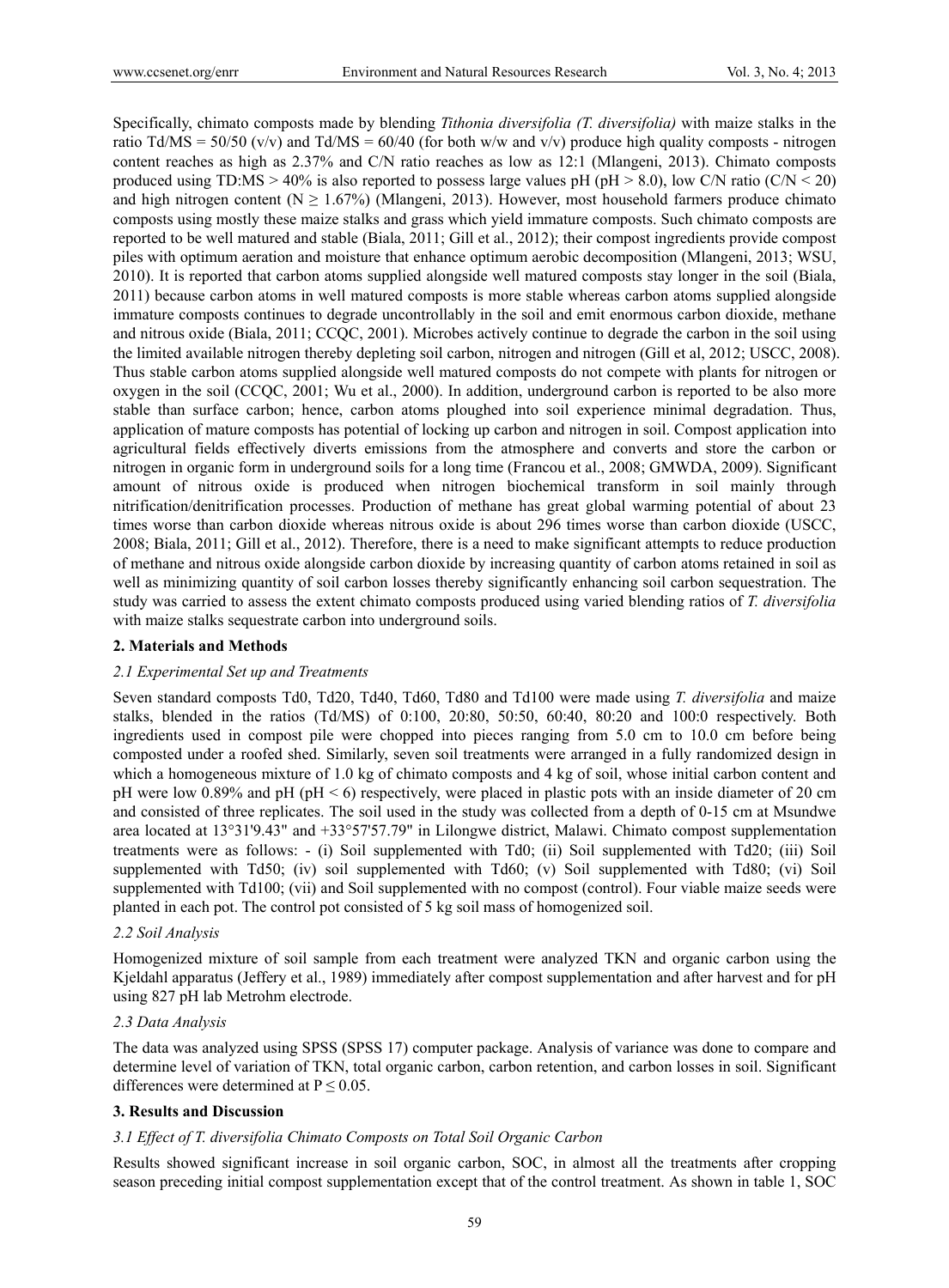Specifically, chimato composts made by blending *Tithonia diversifolia (T. diversifolia)* with maize stalks in the ratio Td/MS = 50/50 (v/v) and Td/MS = 60/40 (for both w/w and v/v) produce high quality composts - nitrogen content reaches as high as 2.37% and C/N ratio reaches as low as 12:1 (Mlangeni, 2013). Chimato composts produced using TD:MS > 40% is also reported to possess large values pH (pH > 8.0), low C/N ratio (C/N < 20) and high nitrogen content ( $N \ge 1.67\%$ ) (Mlangeni, 2013). However, most household farmers produce chimato composts using mostly these maize stalks and grass which yield immature composts. Such chimato composts are reported to be well matured and stable (Biala, 2011; Gill et al., 2012); their compost ingredients provide compost piles with optimum aeration and moisture that enhance optimum aerobic decomposition (Mlangeni, 2013; WSU, 2010). It is reported that carbon atoms supplied alongside well matured composts stay longer in the soil (Biala, 2011) because carbon atoms in well matured composts is more stable whereas carbon atoms supplied alongside immature composts continues to degrade uncontrollably in the soil and emit enormous carbon dioxide, methane and nitrous oxide (Biala, 2011; CCQC, 2001). Microbes actively continue to degrade the carbon in the soil using the limited available nitrogen thereby depleting soil carbon, nitrogen and nitrogen (Gill et al, 2012; USCC, 2008). Thus stable carbon atoms supplied alongside well matured composts do not compete with plants for nitrogen or oxygen in the soil (CCQC, 2001; Wu et al., 2000). In addition, underground carbon is reported to be also more stable than surface carbon; hence, carbon atoms ploughed into soil experience minimal degradation. Thus, application of mature composts has potential of locking up carbon and nitrogen in soil. Compost application into agricultural fields effectively diverts emissions from the atmosphere and converts and store the carbon or nitrogen in organic form in underground soils for a long time (Francou et al., 2008; GMWDA, 2009). Significant amount of nitrous oxide is produced when nitrogen biochemical transform in soil mainly through nitrification/denitrification processes. Production of methane has great global warming potential of about 23 times worse than carbon dioxide whereas nitrous oxide is about 296 times worse than carbon dioxide (USCC, 2008; Biala, 2011; Gill et al., 2012). Therefore, there is a need to make significant attempts to reduce production of methane and nitrous oxide alongside carbon dioxide by increasing quantity of carbon atoms retained in soil as well as minimizing quantity of soil carbon losses thereby significantly enhancing soil carbon sequestration. The study was carried to assess the extent chimato composts produced using varied blending ratios of *T. diversifolia* with maize stalks sequestrate carbon into underground soils.

#### **2. Materials and Methods**

#### *2.1 Experimental Set up and Treatments*

Seven standard composts Td0, Td20, Td40, Td60, Td80 and Td100 were made using *T. diversifolia* and maize stalks, blended in the ratios (Td/MS) of 0:100, 20:80, 50:50, 60:40, 80:20 and 100:0 respectively. Both ingredients used in compost pile were chopped into pieces ranging from 5.0 cm to 10.0 cm before being composted under a roofed shed. Similarly, seven soil treatments were arranged in a fully randomized design in which a homogeneous mixture of 1.0 kg of chimato composts and 4 kg of soil, whose initial carbon content and pH were low 0.89% and pH (pH < 6) respectively, were placed in plastic pots with an inside diameter of 20 cm and consisted of three replicates. The soil used in the study was collected from a depth of 0-15 cm at Msundwe area located at 13°31'9.43" and +33°57'57.79" in Lilongwe district, Malawi. Chimato compost supplementation treatments were as follows: - (i) Soil supplemented with Td0; (ii) Soil supplemented with Td20; (iii) Soil supplemented with Td50; (iv) soil supplemented with Td60; (v) Soil supplemented with Td80; (vi) Soil supplemented with Td100; (vii) and Soil supplemented with no compost (control). Four viable maize seeds were planted in each pot. The control pot consisted of 5 kg soil mass of homogenized soil.

#### *2.2 Soil Analysis*

Homogenized mixture of soil sample from each treatment were analyzed TKN and organic carbon using the Kjeldahl apparatus (Jeffery et al., 1989) immediately after compost supplementation and after harvest and for pH using 827 pH lab Metrohm electrode.

#### *2.3 Data Analysis*

The data was analyzed using SPSS (SPSS 17) computer package. Analysis of variance was done to compare and determine level of variation of TKN, total organic carbon, carbon retention, and carbon losses in soil. Significant differences were determined at  $P \le 0.05$ .

#### **3. Results and Discussion**

#### *3.1 Effect of T. diversifolia Chimato Composts on Total Soil Organic Carbon*

Results showed significant increase in soil organic carbon, SOC, in almost all the treatments after cropping season preceding initial compost supplementation except that of the control treatment. As shown in table 1, SOC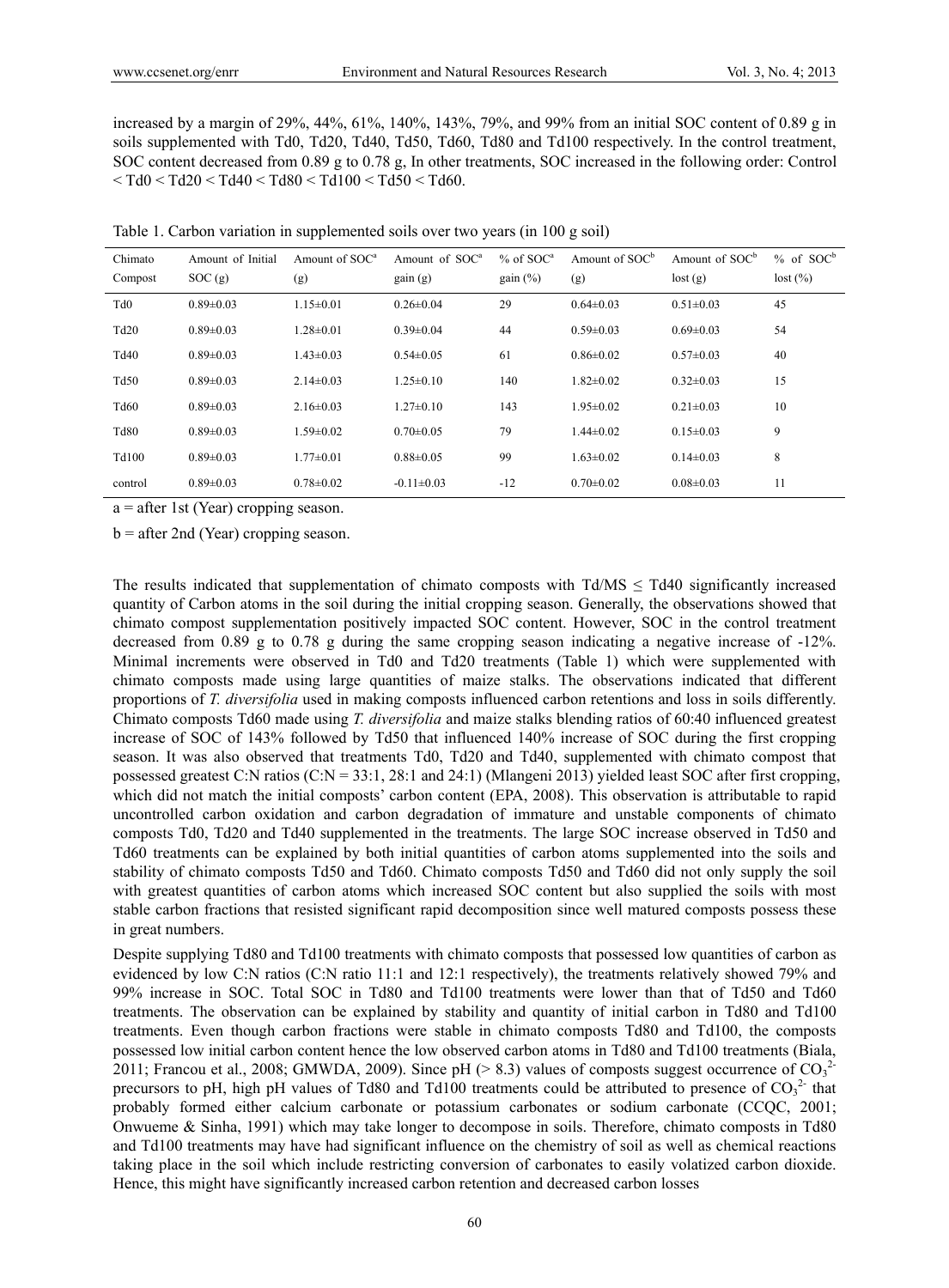increased by a margin of 29%, 44%, 61%, 140%, 143%, 79%, and 99% from an initial SOC content of 0.89 g in soils supplemented with Td0, Td20, Td40, Td50, Td60, Td80 and Td100 respectively. In the control treatment, SOC content decreased from 0.89 g to 0.78 g, In other treatments, SOC increased in the following order: Control  $<$  Td0  $<$  Td20  $<$  Td40  $<$  Td80  $<$  Td100  $<$  Td50  $<$  Td60.

| Table 1. Carbon variation in supplemented soils over two years (in 100 g soil) |  |  |  |
|--------------------------------------------------------------------------------|--|--|--|
|                                                                                |  |  |  |

| Chimato<br>Compost | Amount of Initial<br>SOC(g) | Amount of SOC <sup>a</sup><br>(g) | Amount of SOC <sup>a</sup><br>gain(g) | $%$ of SOC <sup>a</sup><br>gain (%) | Amount of SOC <sup>b</sup><br>(g) | Amount of SOC <sup>b</sup><br>lost(g) | $%$ of SOC <sup>b</sup><br>lost (%) |
|--------------------|-----------------------------|-----------------------------------|---------------------------------------|-------------------------------------|-----------------------------------|---------------------------------------|-------------------------------------|
|                    |                             |                                   |                                       |                                     |                                   |                                       |                                     |
| Td0                | $0.89 \pm 0.03$             | $1.15 \pm 0.01$                   | $0.26 \pm 0.04$                       | 29                                  | $0.64 \pm 0.03$                   | $0.51 \pm 0.03$                       | 45                                  |
| Td20               | $0.89 \pm 0.03$             | $1.28 \pm 0.01$                   | $0.39 \pm 0.04$                       | 44                                  | $0.59 \pm 0.03$                   | $0.69 \pm 0.03$                       | 54                                  |
| Td40               | $0.89 \pm 0.03$             | $1.43 \pm 0.03$                   | $0.54 \pm 0.05$                       | 61                                  | $0.86 \pm 0.02$                   | $0.57 \pm 0.03$                       | 40                                  |
| Td50               | $0.89 \pm 0.03$             | $2.14 \pm 0.03$                   | $1.25 \pm 0.10$                       | 140                                 | $1.82 \pm 0.02$                   | $0.32 \pm 0.03$                       | 15                                  |
| Td60               | $0.89 \pm 0.03$             | $2.16 \pm 0.03$                   | $1.27 \pm 0.10$                       | 143                                 | $1.95 \pm 0.02$                   | $0.21 \pm 0.03$                       | 10                                  |
| <b>Td80</b>        | $0.89 \pm 0.03$             | $1.59 \pm 0.02$                   | $0.70 \pm 0.05$                       | 79                                  | $1.44\pm 0.02$                    | $0.15 \pm 0.03$                       | 9                                   |
| Td100              | $0.89 \pm 0.03$             | $1.77 \pm 0.01$                   | $0.88 \pm 0.05$                       | 99                                  | $1.63 \pm 0.02$                   | $0.14 \pm 0.03$                       | 8                                   |
| control            | $0.89 \pm 0.03$             | $0.78 \pm 0.02$                   | $-0.11 \pm 0.03$                      | $-12$                               | $0.70 \pm 0.02$                   | $0.08 \pm 0.03$                       | 11                                  |

 $a =$  after 1st (Year) cropping season.

 $b =$  after 2nd (Year) cropping season.

The results indicated that supplementation of chimato composts with  $Td/MS \leq Td40$  significantly increased quantity of Carbon atoms in the soil during the initial cropping season. Generally, the observations showed that chimato compost supplementation positively impacted SOC content. However, SOC in the control treatment decreased from 0.89 g to 0.78 g during the same cropping season indicating a negative increase of -12%. Minimal increments were observed in Td0 and Td20 treatments (Table 1) which were supplemented with chimato composts made using large quantities of maize stalks. The observations indicated that different proportions of *T. diversifolia* used in making composts influenced carbon retentions and loss in soils differently. Chimato composts Td60 made using *T. diversifolia* and maize stalks blending ratios of 60:40 influenced greatest increase of SOC of 143% followed by Td50 that influenced 140% increase of SOC during the first cropping season. It was also observed that treatments Td0, Td20 and Td40, supplemented with chimato compost that possessed greatest C:N ratios (C:N = 33:1, 28:1 and 24:1) (Mlangeni 2013) yielded least SOC after first cropping, which did not match the initial composts' carbon content (EPA, 2008). This observation is attributable to rapid uncontrolled carbon oxidation and carbon degradation of immature and unstable components of chimato composts Td0, Td20 and Td40 supplemented in the treatments. The large SOC increase observed in Td50 and Td60 treatments can be explained by both initial quantities of carbon atoms supplemented into the soils and stability of chimato composts Td50 and Td60. Chimato composts Td50 and Td60 did not only supply the soil with greatest quantities of carbon atoms which increased SOC content but also supplied the soils with most stable carbon fractions that resisted significant rapid decomposition since well matured composts possess these in great numbers.

Despite supplying Td80 and Td100 treatments with chimato composts that possessed low quantities of carbon as evidenced by low C:N ratios (C:N ratio 11:1 and 12:1 respectively), the treatments relatively showed 79% and 99% increase in SOC. Total SOC in Td80 and Td100 treatments were lower than that of Td50 and Td60 treatments. The observation can be explained by stability and quantity of initial carbon in Td80 and Td100 treatments. Even though carbon fractions were stable in chimato composts Td80 and Td100, the composts possessed low initial carbon content hence the low observed carbon atoms in Td80 and Td100 treatments (Biala, 2011; Francou et al., 2008; GMWDA, 2009). Since pH ( $> 8.3$ ) values of composts suggest occurrence of CO<sub>3</sub><sup>2</sup> precursors to pH, high pH values of Td80 and Td100 treatments could be attributed to presence of  $CO<sub>3</sub><sup>2</sup>$  that probably formed either calcium carbonate or potassium carbonates or sodium carbonate (CCQC, 2001; Onwueme & Sinha, 1991) which may take longer to decompose in soils. Therefore, chimato composts in Td80 and Td100 treatments may have had significant influence on the chemistry of soil as well as chemical reactions taking place in the soil which include restricting conversion of carbonates to easily volatized carbon dioxide. Hence, this might have significantly increased carbon retention and decreased carbon losses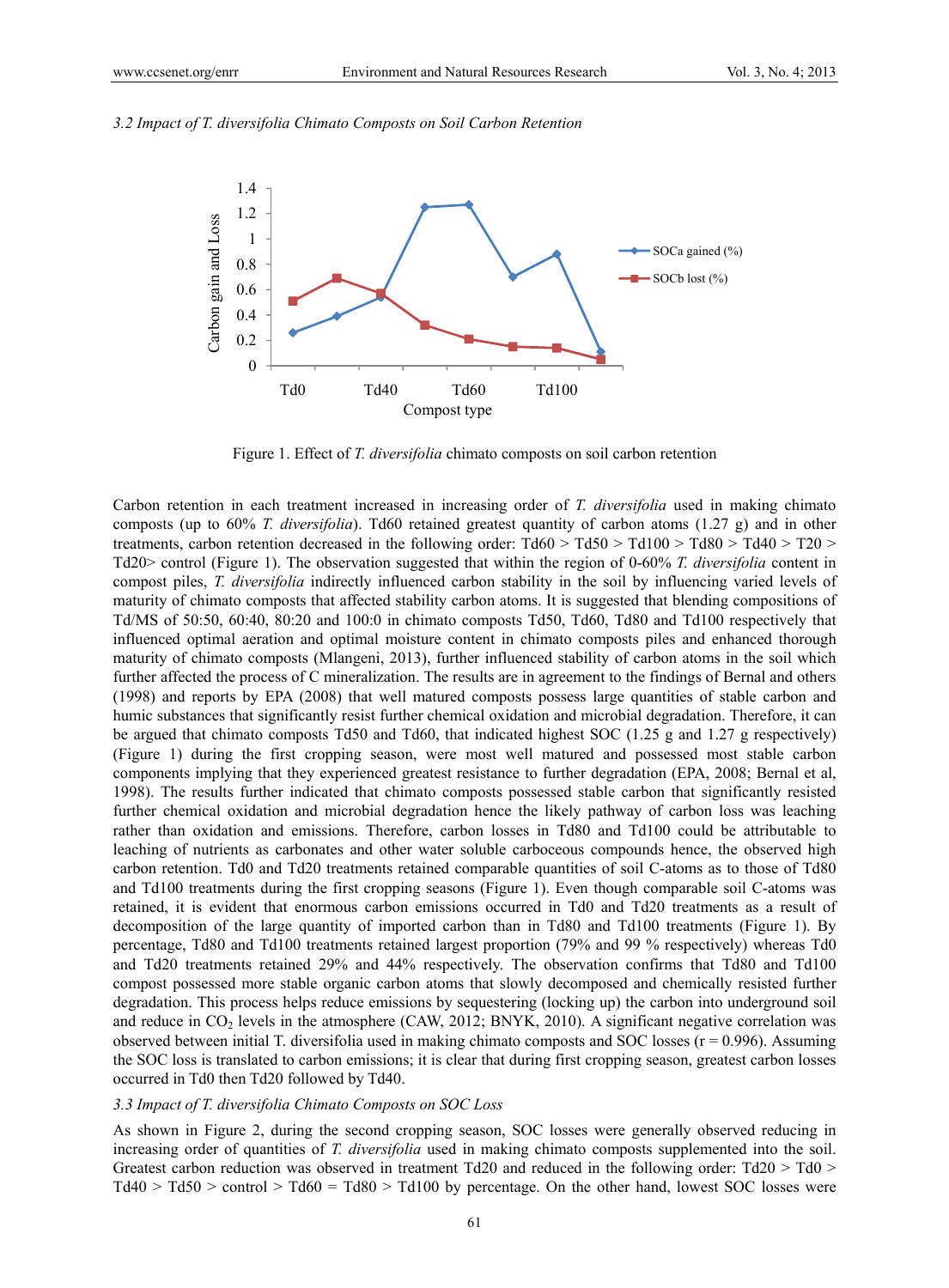#### *3.2 Impact of T. diversifolia Chimato Composts on Soil Carbon Retention*



Figure 1. Effect of *T. diversifolia* chimato composts on soil carbon retention

Carbon retention in each treatment increased in increasing order of *T. diversifolia* used in making chimato composts (up to 60% *T. diversifolia*). Td60 retained greatest quantity of carbon atoms (1.27 g) and in other treatments, carbon retention decreased in the following order:  $T d60 > T d50 > T d100 > T d80 > T d40 > T20 >$ Td20> control (Figure 1). The observation suggested that within the region of 0-60% *T. diversifolia* content in compost piles, *T. diversifolia* indirectly influenced carbon stability in the soil by influencing varied levels of maturity of chimato composts that affected stability carbon atoms. It is suggested that blending compositions of Td/MS of 50:50, 60:40, 80:20 and 100:0 in chimato composts Td50, Td60, Td80 and Td100 respectively that influenced optimal aeration and optimal moisture content in chimato composts piles and enhanced thorough maturity of chimato composts (Mlangeni, 2013), further influenced stability of carbon atoms in the soil which further affected the process of C mineralization. The results are in agreement to the findings of Bernal and others (1998) and reports by EPA (2008) that well matured composts possess large quantities of stable carbon and humic substances that significantly resist further chemical oxidation and microbial degradation. Therefore, it can be argued that chimato composts Td50 and Td60, that indicated highest SOC (1.25 g and 1.27 g respectively) (Figure 1) during the first cropping season, were most well matured and possessed most stable carbon components implying that they experienced greatest resistance to further degradation (EPA, 2008; Bernal et al, 1998). The results further indicated that chimato composts possessed stable carbon that significantly resisted further chemical oxidation and microbial degradation hence the likely pathway of carbon loss was leaching rather than oxidation and emissions. Therefore, carbon losses in Td80 and Td100 could be attributable to leaching of nutrients as carbonates and other water soluble carboceous compounds hence, the observed high carbon retention. Td0 and Td20 treatments retained comparable quantities of soil C-atoms as to those of Td80 and Td100 treatments during the first cropping seasons (Figure 1). Even though comparable soil C-atoms was retained, it is evident that enormous carbon emissions occurred in Td0 and Td20 treatments as a result of decomposition of the large quantity of imported carbon than in Td80 and Td100 treatments (Figure 1). By percentage, Td80 and Td100 treatments retained largest proportion (79% and 99 % respectively) whereas Td0 and Td20 treatments retained 29% and 44% respectively. The observation confirms that Td80 and Td100 compost possessed more stable organic carbon atoms that slowly decomposed and chemically resisted further degradation. This process helps reduce emissions by sequestering (locking up) the carbon into underground soil and reduce in  $CO<sub>2</sub>$  levels in the atmosphere (CAW, 2012; BNYK, 2010). A significant negative correlation was observed between initial T. diversifolia used in making chimato composts and SOC losses (r = 0.996). Assuming the SOC loss is translated to carbon emissions; it is clear that during first cropping season, greatest carbon losses occurred in Td0 then Td20 followed by Td40.

#### *3.3 Impact of T. diversifolia Chimato Composts on SOC Loss*

As shown in Figure 2, during the second cropping season, SOC losses were generally observed reducing in increasing order of quantities of *T. diversifolia* used in making chimato composts supplemented into the soil. Greatest carbon reduction was observed in treatment Td20 and reduced in the following order: Td20  $>$  Td0  $>$  $Td40 > Td50 >$  control  $> Td60 = Td80 > Td100$  by percentage. On the other hand, lowest SOC losses were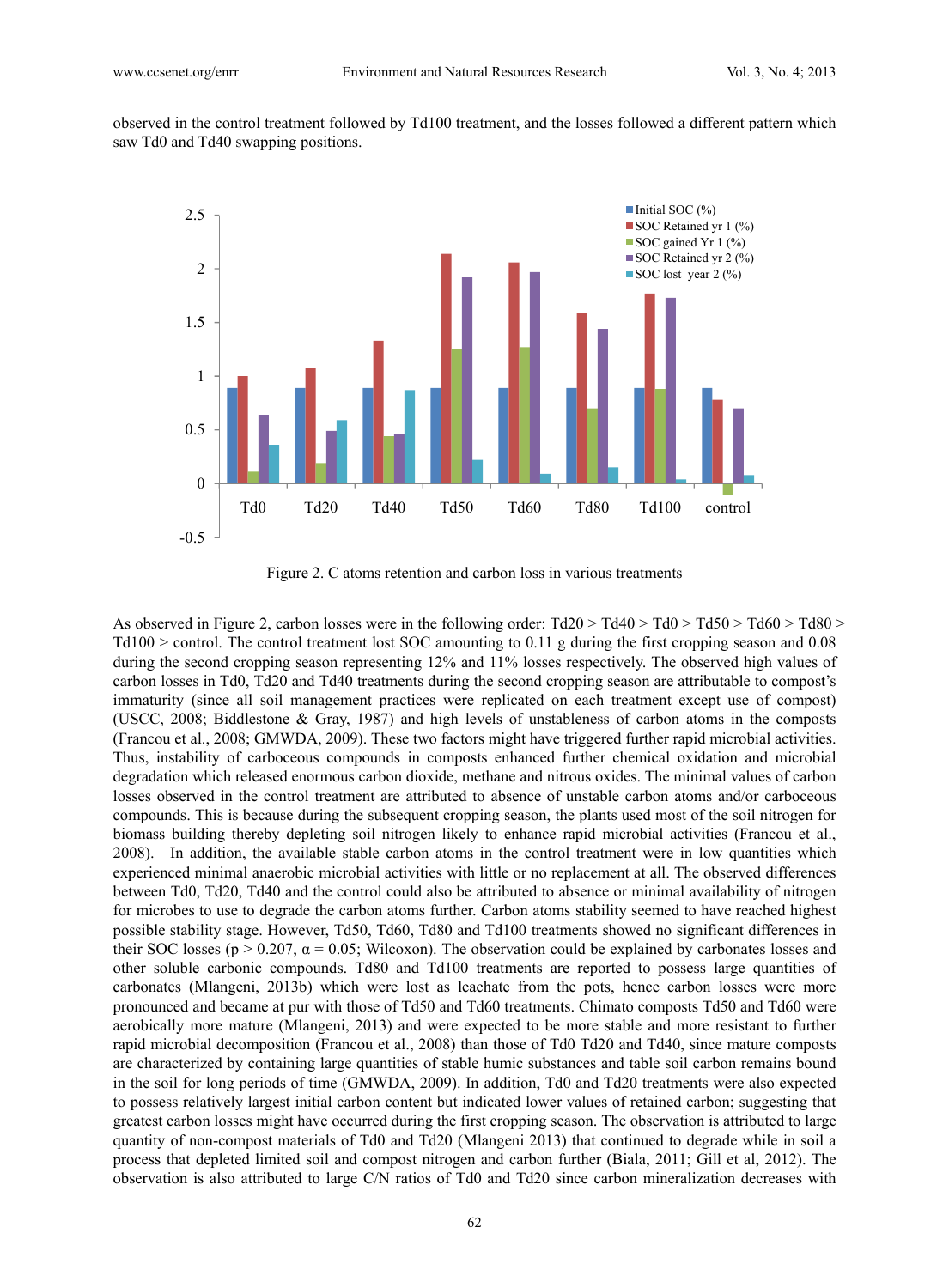observed in the control treatment followed by Td100 treatment, and the losses followed a different pattern which saw Td0 and Td40 swapping positions.



Figure 2. C atoms retention and carbon loss in various treatments

As observed in Figure 2, carbon losses were in the following order: Td20 > Td40 > Td0 > Td50 > Td60 > Td80 > Td100 > control. The control treatment lost SOC amounting to 0.11 g during the first cropping season and 0.08 during the second cropping season representing 12% and 11% losses respectively. The observed high values of carbon losses in Td0, Td20 and Td40 treatments during the second cropping season are attributable to compost's immaturity (since all soil management practices were replicated on each treatment except use of compost) (USCC, 2008; Biddlestone & Gray, 1987) and high levels of unstableness of carbon atoms in the composts (Francou et al., 2008; GMWDA, 2009). These two factors might have triggered further rapid microbial activities. Thus, instability of carboceous compounds in composts enhanced further chemical oxidation and microbial degradation which released enormous carbon dioxide, methane and nitrous oxides. The minimal values of carbon losses observed in the control treatment are attributed to absence of unstable carbon atoms and/or carboceous compounds. This is because during the subsequent cropping season, the plants used most of the soil nitrogen for biomass building thereby depleting soil nitrogen likely to enhance rapid microbial activities (Francou et al., 2008). In addition, the available stable carbon atoms in the control treatment were in low quantities which experienced minimal anaerobic microbial activities with little or no replacement at all. The observed differences between Td0, Td20, Td40 and the control could also be attributed to absence or minimal availability of nitrogen for microbes to use to degrade the carbon atoms further. Carbon atoms stability seemed to have reached highest possible stability stage. However, Td50, Td60, Td80 and Td100 treatments showed no significant differences in their SOC losses (p > 0.207,  $\alpha$  = 0.05; Wilcoxon). The observation could be explained by carbonates losses and other soluble carbonic compounds. Td80 and Td100 treatments are reported to possess large quantities of carbonates (Mlangeni, 2013b) which were lost as leachate from the pots, hence carbon losses were more pronounced and became at pur with those of Td50 and Td60 treatments. Chimato composts Td50 and Td60 were aerobically more mature (Mlangeni, 2013) and were expected to be more stable and more resistant to further rapid microbial decomposition (Francou et al., 2008) than those of Td0 Td20 and Td40, since mature composts are characterized by containing large quantities of stable humic substances and table soil carbon remains bound in the soil for long periods of time (GMWDA, 2009). In addition, Td0 and Td20 treatments were also expected to possess relatively largest initial carbon content but indicated lower values of retained carbon; suggesting that greatest carbon losses might have occurred during the first cropping season. The observation is attributed to large quantity of non-compost materials of Td0 and Td20 (Mlangeni 2013) that continued to degrade while in soil a process that depleted limited soil and compost nitrogen and carbon further (Biala, 2011; Gill et al, 2012). The observation is also attributed to large C/N ratios of Td0 and Td20 since carbon mineralization decreases with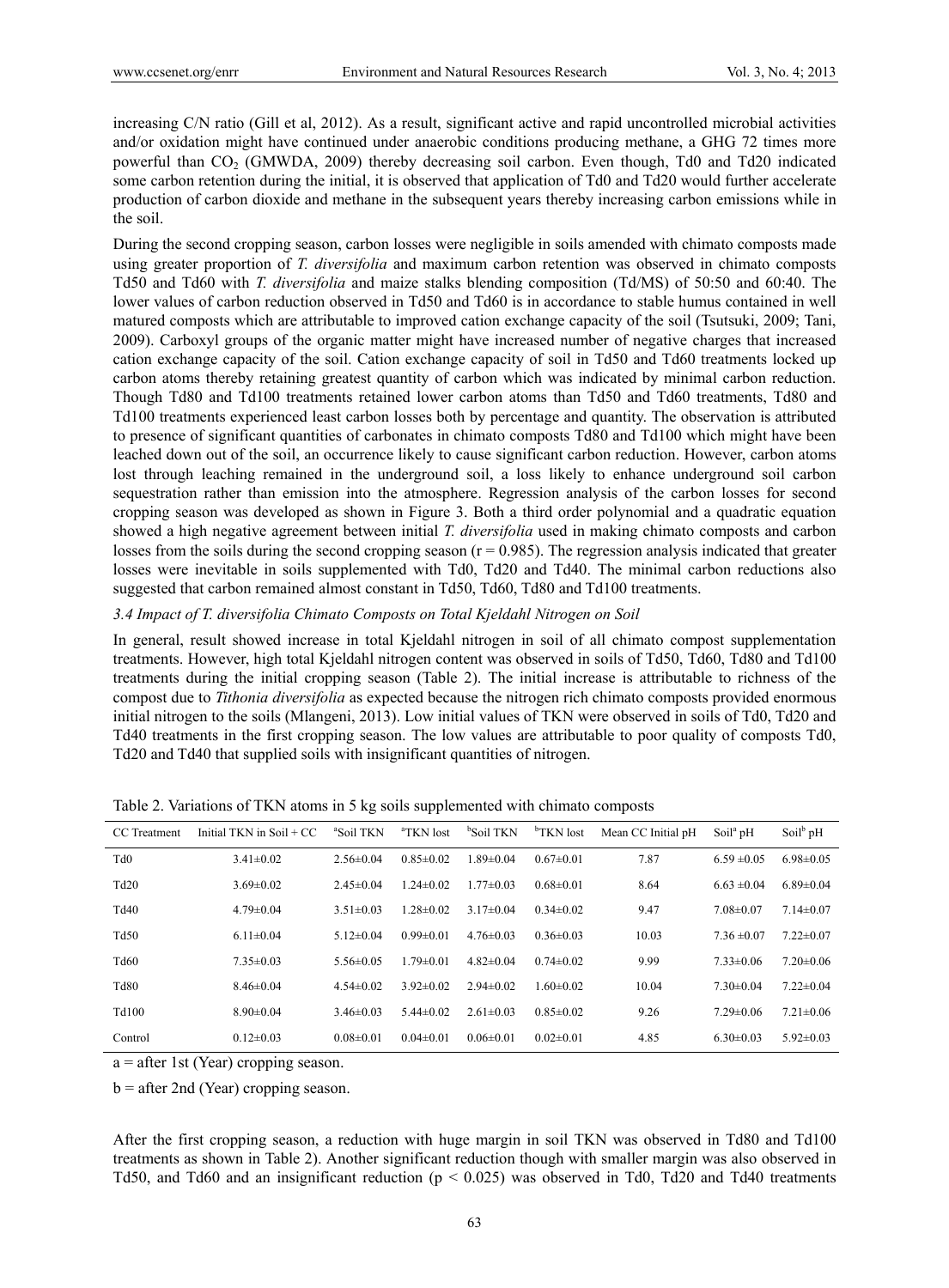increasing C/N ratio (Gill et al, 2012). As a result, significant active and rapid uncontrolled microbial activities and/or oxidation might have continued under anaerobic conditions producing methane, a GHG 72 times more powerful than CO2 (GMWDA, 2009) thereby decreasing soil carbon. Even though, Td0 and Td20 indicated some carbon retention during the initial, it is observed that application of Td0 and Td20 would further accelerate production of carbon dioxide and methane in the subsequent years thereby increasing carbon emissions while in the soil.

During the second cropping season, carbon losses were negligible in soils amended with chimato composts made using greater proportion of *T. diversifolia* and maximum carbon retention was observed in chimato composts Td50 and Td60 with *T. diversifolia* and maize stalks blending composition (Td/MS) of 50:50 and 60:40. The lower values of carbon reduction observed in Td50 and Td60 is in accordance to stable humus contained in well matured composts which are attributable to improved cation exchange capacity of the soil (Tsutsuki, 2009; Tani, 2009). Carboxyl groups of the organic matter might have increased number of negative charges that increased cation exchange capacity of the soil. Cation exchange capacity of soil in Td50 and Td60 treatments locked up carbon atoms thereby retaining greatest quantity of carbon which was indicated by minimal carbon reduction. Though Td80 and Td100 treatments retained lower carbon atoms than Td50 and Td60 treatments, Td80 and Td100 treatments experienced least carbon losses both by percentage and quantity. The observation is attributed to presence of significant quantities of carbonates in chimato composts Td80 and Td100 which might have been leached down out of the soil, an occurrence likely to cause significant carbon reduction. However, carbon atoms lost through leaching remained in the underground soil, a loss likely to enhance underground soil carbon sequestration rather than emission into the atmosphere. Regression analysis of the carbon losses for second cropping season was developed as shown in Figure 3. Both a third order polynomial and a quadratic equation showed a high negative agreement between initial *T. diversifolia* used in making chimato composts and carbon losses from the soils during the second cropping season  $(r = 0.985)$ . The regression analysis indicated that greater losses were inevitable in soils supplemented with Td0, Td20 and Td40. The minimal carbon reductions also suggested that carbon remained almost constant in Td50, Td60, Td80 and Td100 treatments.

#### *3.4 Impact of T. diversifolia Chimato Composts on Total Kjeldahl Nitrogen on Soil*

In general, result showed increase in total Kjeldahl nitrogen in soil of all chimato compost supplementation treatments. However, high total Kjeldahl nitrogen content was observed in soils of Td50, Td60, Td80 and Td100 treatments during the initial cropping season (Table 2). The initial increase is attributable to richness of the compost due to *Tithonia diversifolia* as expected because the nitrogen rich chimato composts provided enormous initial nitrogen to the soils (Mlangeni, 2013). Low initial values of TKN were observed in soils of Td0, Td20 and Td40 treatments in the first cropping season. The low values are attributable to poor quality of composts Td0, Td20 and Td40 that supplied soils with insignificant quantities of nitrogen.

| CC Treatment    | Initial TKN in $Soil + CC$ | <sup>a</sup> Soil TKN | <sup>a</sup> TKN lost | <sup>b</sup> Soil TKN | <sup>b</sup> TKN lost | Mean CC Initial pH | Soil <sup>a</sup> pH | $Soil^b$ pH     |
|-----------------|----------------------------|-----------------------|-----------------------|-----------------------|-----------------------|--------------------|----------------------|-----------------|
| Td <sub>0</sub> | $3.41 \pm 0.02$            | $2.56 \pm 0.04$       | $0.85 \pm 0.02$       | $1.89 \pm 0.04$       | $0.67 \pm 0.01$       | 7.87               | $6.59 \pm 0.05$      | $6.98 \pm 0.05$ |
| Td20            | $3.69 \pm 0.02$            | $2.45 \pm 0.04$       | $1.24 \pm 0.02$       | $1.77 \pm 0.03$       | $0.68 \pm 0.01$       | 8.64               | $6.63 \pm 0.04$      | $6.89 \pm 0.04$ |
| Td40            | $4.79 \pm 0.04$            | $3.51 \pm 0.03$       | $1.28 \pm 0.02$       | $3.17\pm0.04$         | $0.34\pm0.02$         | 9.47               | $7.08 \pm 0.07$      | $7.14 \pm 0.07$ |
| Td50            | $6.11 \pm 0.04$            | $5.12 \pm 0.04$       | $0.99 \pm 0.01$       | $4.76\pm0.03$         | $0.36 \pm 0.03$       | 10.03              | $7.36 \pm 0.07$      | $7.22 \pm 0.07$ |
| Td60            | $7.35 \pm 0.03$            | $5.56 \pm 0.05$       | $1.79 \pm 0.01$       | $4.82 \pm 0.04$       | $0.74 \pm 0.02$       | 9.99               | $7.33 \pm 0.06$      | $7.20 \pm 0.06$ |
| <b>Td80</b>     | $8.46 \pm 0.04$            | $4.54\pm0.02$         | $3.92 \pm 0.02$       | $2.94 \pm 0.02$       | $1.60 \pm 0.02$       | 10.04              | $7.30 \pm 0.04$      | $7.22 \pm 0.04$ |
| Td100           | $8.90 \pm 0.04$            | $3.46\pm0.03$         | $5.44\pm0.02$         | $2.61 \pm 0.03$       | $0.85 \pm 0.02$       | 9.26               | $7.29 \pm 0.06$      | $7.21 \pm 0.06$ |
| Control         | $0.12 \pm 0.03$            | $0.08 \pm 0.01$       | $0.04\pm0.01$         | $0.06 \pm 0.01$       | $0.02 \pm 0.01$       | 4.85               | $6.30 \pm 0.03$      | $5.92 \pm 0.03$ |

 $a =$  after 1st (Year) cropping season.

 $b =$  after 2nd (Year) cropping season.

After the first cropping season, a reduction with huge margin in soil TKN was observed in Td80 and Td100 treatments as shown in Table 2). Another significant reduction though with smaller margin was also observed in Td50, and Td60 and an insignificant reduction ( $p < 0.025$ ) was observed in Td0, Td20 and Td40 treatments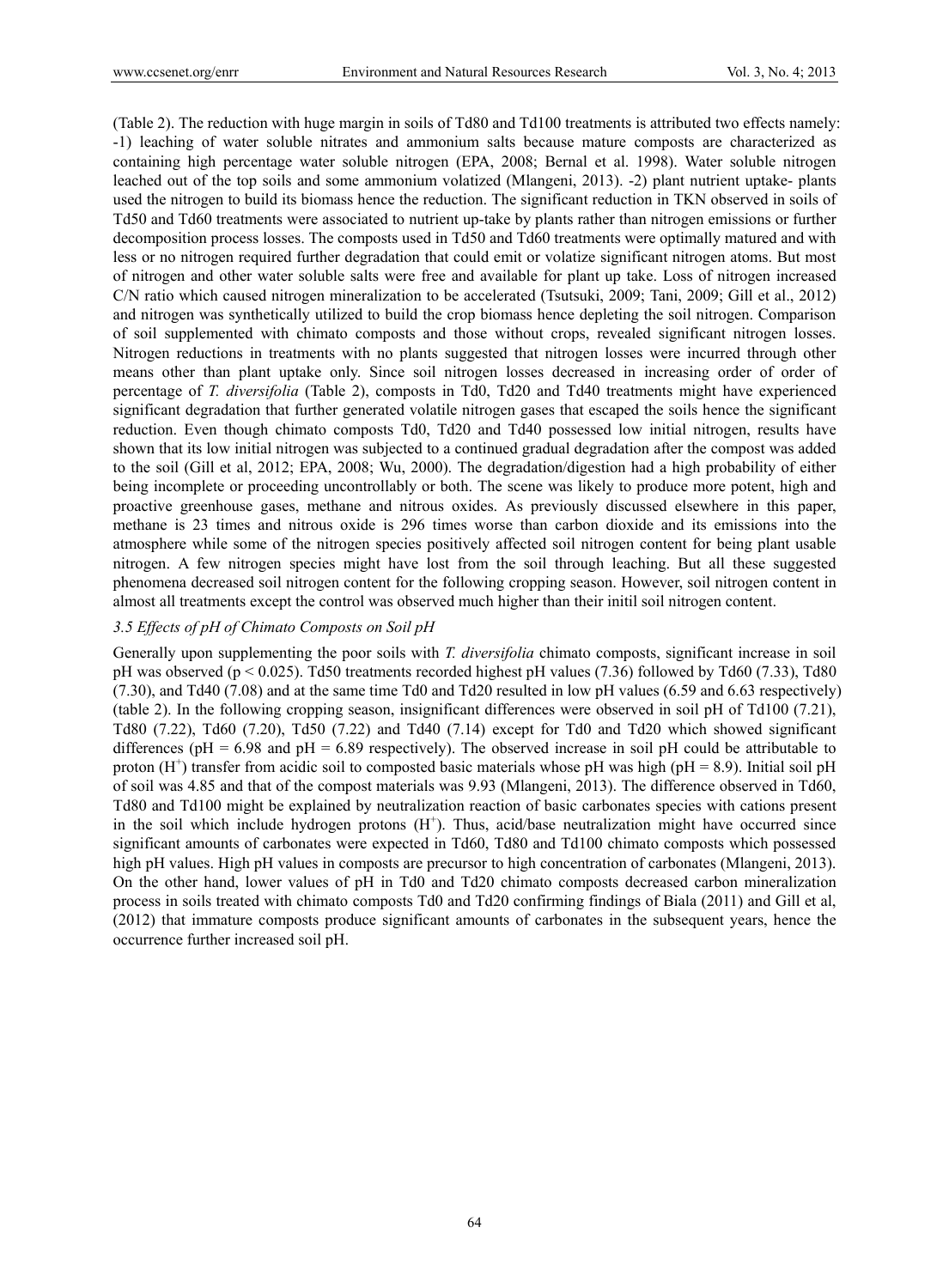(Table 2). The reduction with huge margin in soils of Td80 and Td100 treatments is attributed two effects namely: -1) leaching of water soluble nitrates and ammonium salts because mature composts are characterized as containing high percentage water soluble nitrogen (EPA, 2008; Bernal et al. 1998). Water soluble nitrogen leached out of the top soils and some ammonium volatized (Mlangeni, 2013). -2) plant nutrient uptake- plants used the nitrogen to build its biomass hence the reduction. The significant reduction in TKN observed in soils of Td50 and Td60 treatments were associated to nutrient up-take by plants rather than nitrogen emissions or further decomposition process losses. The composts used in Td50 and Td60 treatments were optimally matured and with less or no nitrogen required further degradation that could emit or volatize significant nitrogen atoms. But most of nitrogen and other water soluble salts were free and available for plant up take. Loss of nitrogen increased C/N ratio which caused nitrogen mineralization to be accelerated (Tsutsuki, 2009; Tani, 2009; Gill et al., 2012) and nitrogen was synthetically utilized to build the crop biomass hence depleting the soil nitrogen. Comparison of soil supplemented with chimato composts and those without crops, revealed significant nitrogen losses. Nitrogen reductions in treatments with no plants suggested that nitrogen losses were incurred through other means other than plant uptake only. Since soil nitrogen losses decreased in increasing order of order of percentage of *T. diversifolia* (Table 2), composts in Td0, Td20 and Td40 treatments might have experienced significant degradation that further generated volatile nitrogen gases that escaped the soils hence the significant reduction. Even though chimato composts Td0, Td20 and Td40 possessed low initial nitrogen, results have shown that its low initial nitrogen was subjected to a continued gradual degradation after the compost was added to the soil (Gill et al, 2012; EPA, 2008; Wu, 2000). The degradation/digestion had a high probability of either being incomplete or proceeding uncontrollably or both. The scene was likely to produce more potent, high and proactive greenhouse gases, methane and nitrous oxides. As previously discussed elsewhere in this paper, methane is 23 times and nitrous oxide is 296 times worse than carbon dioxide and its emissions into the atmosphere while some of the nitrogen species positively affected soil nitrogen content for being plant usable nitrogen. A few nitrogen species might have lost from the soil through leaching. But all these suggested phenomena decreased soil nitrogen content for the following cropping season. However, soil nitrogen content in almost all treatments except the control was observed much higher than their initil soil nitrogen content.

#### *3.5 Effects of pH of Chimato Composts on Soil pH*

Generally upon supplementing the poor soils with *T. diversifolia* chimato composts, significant increase in soil pH was observed ( $p < 0.025$ ). Td50 treatments recorded highest pH values (7.36) followed by Td60 (7.33), Td80 (7.30), and Td40 (7.08) and at the same time Td0 and Td20 resulted in low pH values (6.59 and 6.63 respectively) (table 2). In the following cropping season, insignificant differences were observed in soil pH of Td100 (7.21), Td80 (7.22), Td60 (7.20), Td50 (7.22) and Td40 (7.14) except for Td0 and Td20 which showed significant differences ( $pH = 6.98$  and  $pH = 6.89$  respectively). The observed increase in soil pH could be attributable to proton  $(H^+)$  transfer from acidic soil to composted basic materials whose pH was high (pH = 8.9). Initial soil pH of soil was 4.85 and that of the compost materials was 9.93 (Mlangeni, 2013). The difference observed in Td60, Td80 and Td100 might be explained by neutralization reaction of basic carbonates species with cations present in the soil which include hydrogen protons  $(H<sup>+</sup>)$ . Thus, acid/base neutralization might have occurred since significant amounts of carbonates were expected in Td60, Td80 and Td100 chimato composts which possessed high pH values. High pH values in composts are precursor to high concentration of carbonates (Mlangeni, 2013). On the other hand, lower values of pH in Td0 and Td20 chimato composts decreased carbon mineralization process in soils treated with chimato composts Td0 and Td20 confirming findings of Biala (2011) and Gill et al, (2012) that immature composts produce significant amounts of carbonates in the subsequent years, hence the occurrence further increased soil pH.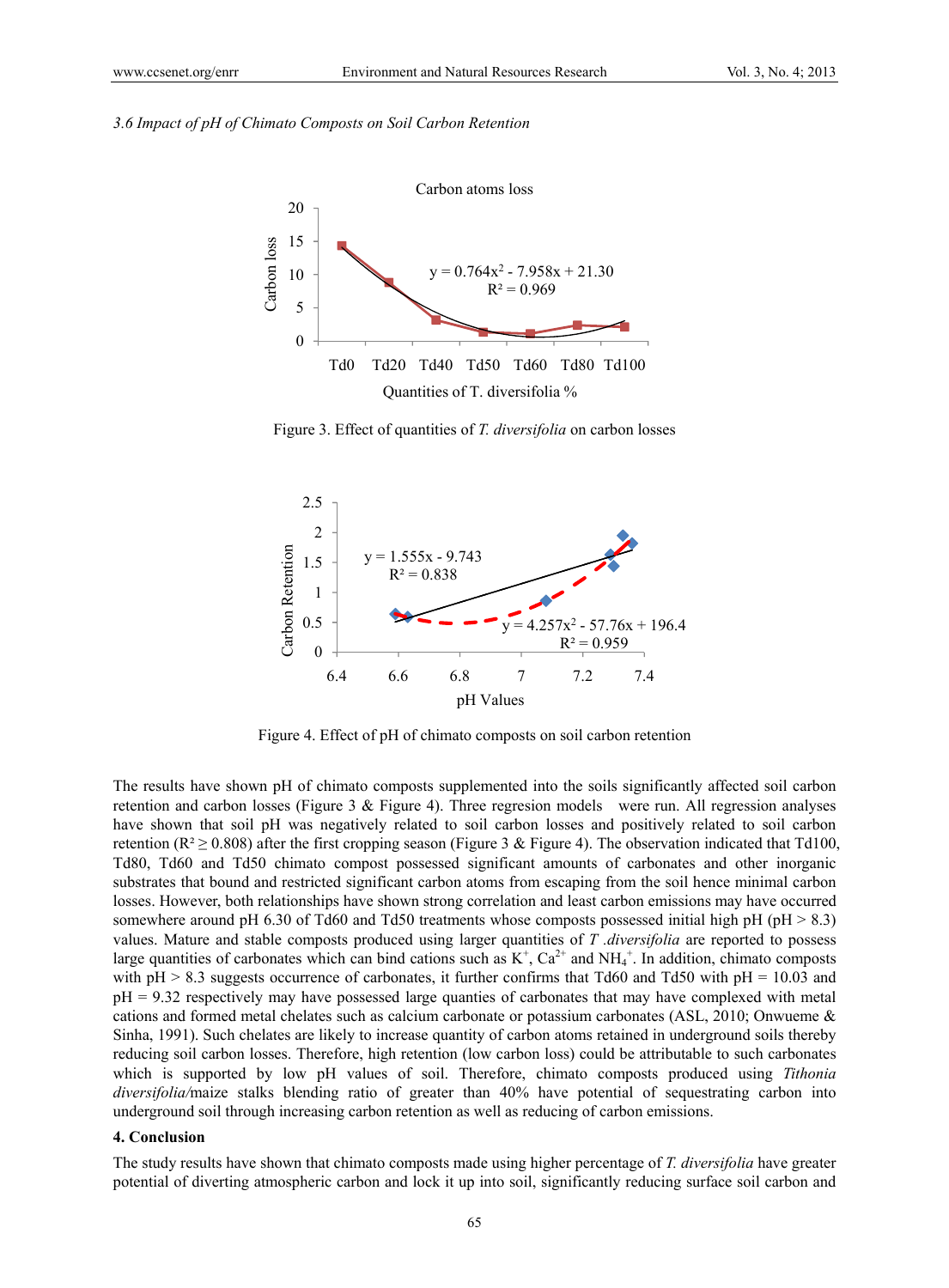#### *3.6 Impact of pH of Chimato Composts on Soil Carbon Retention*



Figure 3. Effect of quantities of *T. diversifolia* on carbon losses



Figure 4. Effect of pH of chimato composts on soil carbon retention

The results have shown pH of chimato composts supplemented into the soils significantly affected soil carbon retention and carbon losses (Figure 3 & Figure 4). Three regresion models were run. All regression analyses have shown that soil pH was negatively related to soil carbon losses and positively related to soil carbon retention ( $R^2 \ge 0.808$ ) after the first cropping season (Figure 3 & Figure 4). The observation indicated that Td100, Td80, Td60 and Td50 chimato compost possessed significant amounts of carbonates and other inorganic substrates that bound and restricted significant carbon atoms from escaping from the soil hence minimal carbon losses. However, both relationships have shown strong correlation and least carbon emissions may have occurred somewhere around pH 6.30 of Td60 and Td50 treatments whose composts possessed initial high pH (pH > 8.3) values. Mature and stable composts produced using larger quantities of *T .diversifolia* are reported to possess large quantities of carbonates which can bind cations such as  $K^+$ ,  $Ca^{2+}$  and  $NH_4^+$ . In addition, chimato composts with  $pH > 8.3$  suggests occurrence of carbonates, it further confirms that Td60 and Td50 with  $pH = 10.03$  and pH = 9.32 respectively may have possessed large quanties of carbonates that may have complexed with metal cations and formed metal chelates such as calcium carbonate or potassium carbonates (ASL, 2010; Onwueme & Sinha, 1991). Such chelates are likely to increase quantity of carbon atoms retained in underground soils thereby reducing soil carbon losses. Therefore, high retention (low carbon loss) could be attributable to such carbonates which is supported by low pH values of soil. Therefore, chimato composts produced using *Tithonia diversifolia/*maize stalks blending ratio of greater than 40% have potential of sequestrating carbon into underground soil through increasing carbon retention as well as reducing of carbon emissions.

#### **4. Conclusion**

The study results have shown that chimato composts made using higher percentage of *T. diversifolia* have greater potential of diverting atmospheric carbon and lock it up into soil, significantly reducing surface soil carbon and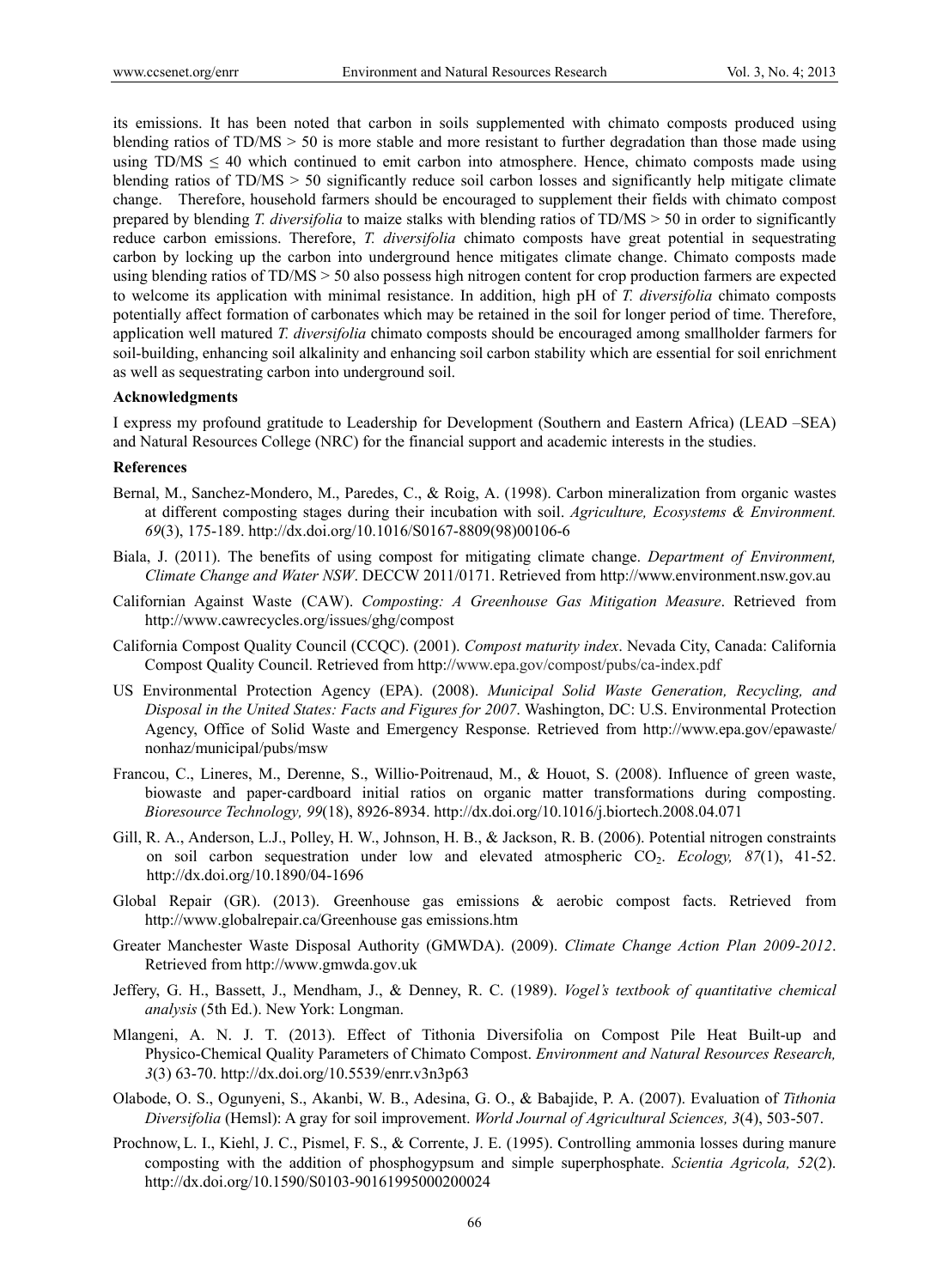its emissions. It has been noted that carbon in soils supplemented with chimato composts produced using blending ratios of TD/MS > 50 is more stable and more resistant to further degradation than those made using using  $TD/MS \leq 40$  which continued to emit carbon into atmosphere. Hence, chimato composts made using blending ratios of TD/MS > 50 significantly reduce soil carbon losses and significantly help mitigate climate change. Therefore, household farmers should be encouraged to supplement their fields with chimato compost prepared by blending *T. diversifolia* to maize stalks with blending ratios of TD/MS > 50 in order to significantly reduce carbon emissions. Therefore, *T. diversifolia* chimato composts have great potential in sequestrating carbon by locking up the carbon into underground hence mitigates climate change. Chimato composts made using blending ratios of TD/MS > 50 also possess high nitrogen content for crop production farmers are expected to welcome its application with minimal resistance. In addition, high pH of *T. diversifolia* chimato composts potentially affect formation of carbonates which may be retained in the soil for longer period of time. Therefore, application well matured *T. diversifolia* chimato composts should be encouraged among smallholder farmers for soil-building, enhancing soil alkalinity and enhancing soil carbon stability which are essential for soil enrichment as well as sequestrating carbon into underground soil.

#### **Acknowledgments**

I express my profound gratitude to Leadership for Development (Southern and Eastern Africa) (LEAD –SEA) and Natural Resources College (NRC) for the financial support and academic interests in the studies.

#### **References**

- Bernal, M., Sanchez-Mondero, M., Paredes, C., & Roig, A. (1998). Carbon mineralization from organic wastes at different composting stages during their incubation with soil. *Agriculture, Ecosystems & Environment. 69*(3), 175-189. http://dx.doi.org/10.1016/S0167-8809(98)00106-6
- Biala, J. (2011). The benefits of using compost for mitigating climate change. *Department of Environment, Climate Change and Water NSW*. DECCW 2011/0171. Retrieved from http://www.environment.nsw.gov.au
- Californian Against Waste (CAW). *Composting: A Greenhouse Gas Mitigation Measure*. Retrieved from http://www.cawrecycles.org/issues/ghg/compost
- California Compost Quality Council (CCQC). (2001). *Compost maturity index*. Nevada City, Canada: California Compost Quality Council. Retrieved from http://www.epa.gov/compost/pubs/ca-index.pdf
- US Environmental Protection Agency (EPA). (2008). *Municipal Solid Waste Generation, Recycling, and Disposal in the United States: Facts and Figures for 2007*. Washington, DC: U.S. Environmental Protection Agency, Office of Solid Waste and Emergency Response. Retrieved from http://www.epa.gov/epawaste/ nonhaz/municipal/pubs/msw
- Francou, C., Lineres, M., Derenne, S., Willio‐Poitrenaud, M., & Houot, S. (2008). Influence of green waste, biowaste and paper‐cardboard initial ratios on organic matter transformations during composting. *Bioresource Technology, 99*(18), 8926-8934. http://dx.doi.org/10.1016/j.biortech.2008.04.071
- Gill, R. A., Anderson, L.J., Polley, H. W., Johnson, H. B., & Jackson, R. B. (2006). Potential nitrogen constraints on soil carbon sequestration under low and elevated atmospheric CO2. *Ecology, 87*(1), 41-52. http://dx.doi.org/10.1890/04-1696
- Global Repair (GR). (2013). Greenhouse gas emissions & aerobic compost facts. Retrieved from http://www.globalrepair.ca/Greenhouse gas emissions.htm
- Greater Manchester Waste Disposal Authority (GMWDA). (2009). *Climate Change Action Plan 2009-2012*. Retrieved from http://www.gmwda.gov.uk
- Jeffery, G. H., Bassett, J., Mendham, J., & Denney, R. C. (1989). *Vogel's textbook of quantitative chemical analysis* (5th Ed.). New York: Longman.
- Mlangeni, A. N. J. T. (2013). Effect of Tithonia Diversifolia on Compost Pile Heat Built-up and Physico-Chemical Quality Parameters of Chimato Compost. *Environment and Natural Resources Research, 3*(3) 63-70. http://dx.doi.org/10.5539/enrr.v3n3p63
- Olabode, O. S., Ogunyeni, S., Akanbi, W. B., Adesina, G. O., & Babajide, P. A. (2007). Evaluation of *Tithonia Diversifolia* (Hemsl): A gray for soil improvement. *World Journal of Agricultural Sciences, 3*(4), 503-507.
- Prochnow, L. I., Kiehl, J. C., Pismel, F. S., & Corrente, J. E. (1995). Controlling ammonia losses during manure composting with the addition of phosphogypsum and simple superphosphate. *Scientia Agricola, 52*(2). http://dx.doi.org/10.1590/S0103-90161995000200024